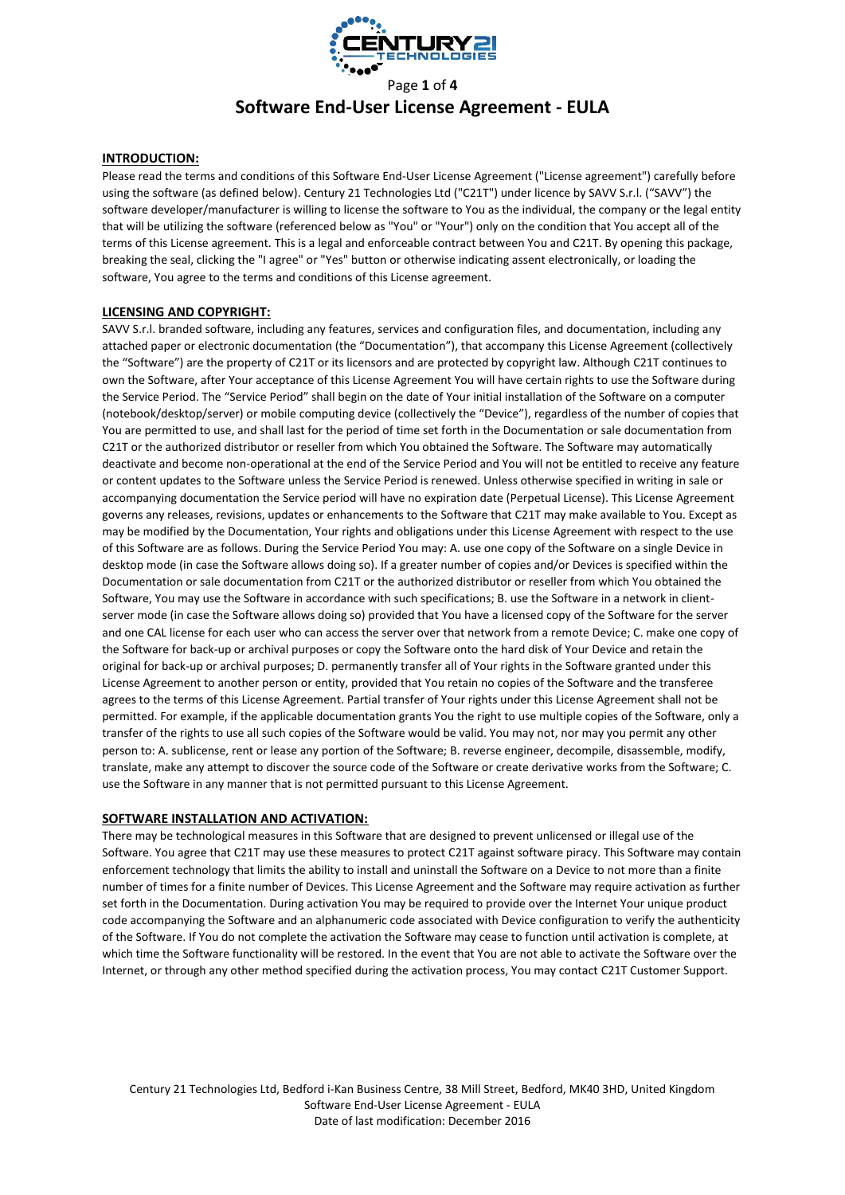

# Page **1** of **4 Software End-User License Agreement - EULA**

## **INTRODUCTION:**

Please read the terms and conditions of this Software End-User License Agreement ("License agreement") carefully before using the software (as defined below). Century 21 Technologies Ltd ("C21T") under licence by SAVV S.r.l. ("SAVV") the software developer/manufacturer is willing to license the software to You as the individual, the company or the legal entity that will be utilizing the software (referenced below as "You" or "Your") only on the condition that You accept all of the terms of this License agreement. This is a legal and enforceable contract between You and C21T. By opening this package, breaking the seal, clicking the "I agree" or "Yes" button or otherwise indicating assent electronically, or loading the software, You agree to the terms and conditions of this License agreement.

## **LICENSING AND COPYRIGHT:**

SAVV S.r.l. branded software, including any features, services and configuration files, and documentation, including any attached paper or electronic documentation (the "Documentation"), that accompany this License Agreement (collectively the "Software") are the property of C21T or its licensors and are protected by copyright law. Although C21T continues to own the Software, after Your acceptance of this License Agreement You will have certain rights to use the Software during the Service Period. The "Service Period" shall begin on the date of Your initial installation of the Software on a computer (notebook/desktop/server) or mobile computing device (collectively the "Device"), regardless of the number of copies that You are permitted to use, and shall last for the period of time set forth in the Documentation or sale documentation from C21T or the authorized distributor or reseller from which You obtained the Software. The Software may automatically deactivate and become non-operational at the end of the Service Period and You will not be entitled to receive any feature or content updates to the Software unless the Service Period is renewed. Unless otherwise specified in writing in sale or accompanying documentation the Service period will have no expiration date (Perpetual License). This License Agreement governs any releases, revisions, updates or enhancements to the Software that C21T may make available to You. Except as may be modified by the Documentation, Your rights and obligations under this License Agreement with respect to the use of this Software are as follows. During the Service Period You may: A. use one copy of the Software on a single Device in desktop mode (in case the Software allows doing so). If a greater number of copies and/or Devices is specified within the Documentation or sale documentation from C21T or the authorized distributor or reseller from which You obtained the Software, You may use the Software in accordance with such specifications; B. use the Software in a network in clientserver mode (in case the Software allows doing so) provided that You have a licensed copy of the Software for the server and one CAL license for each user who can access the server over that network from a remote Device; C. make one copy of the Software for back-up or archival purposes or copy the Software onto the hard disk of Your Device and retain the original for back-up or archival purposes; D. permanently transfer all of Your rights in the Software granted under this License Agreement to another person or entity, provided that You retain no copies of the Software and the transferee agrees to the terms of this License Agreement. Partial transfer of Your rights under this License Agreement shall not be permitted. For example, if the applicable documentation grants You the right to use multiple copies of the Software, only a transfer of the rights to use all such copies of the Software would be valid. You may not, nor may you permit any other person to: A. sublicense, rent or lease any portion of the Software; B. reverse engineer, decompile, disassemble, modify, translate, make any attempt to discover the source code of the Software or create derivative works from the Software; C. use the Software in any manner that is not permitted pursuant to this License Agreement.

#### **SOFTWARE INSTALLATION AND ACTIVATION:**

There may be technological measures in this Software that are designed to prevent unlicensed or illegal use of the Software. You agree that C21T may use these measures to protect C21T against software piracy. This Software may contain enforcement technology that limits the ability to install and uninstall the Software on a Device to not more than a finite number of times for a finite number of Devices. This License Agreement and the Software may require activation as further set forth in the Documentation. During activation You may be required to provide over the Internet Your unique product code accompanying the Software and an alphanumeric code associated with Device configuration to verify the authenticity of the Software. If You do not complete the activation the Software may cease to function until activation is complete, at which time the Software functionality will be restored. In the event that You are not able to activate the Software over the Internet, or through any other method specified during the activation process, You may contact C21T Customer Support.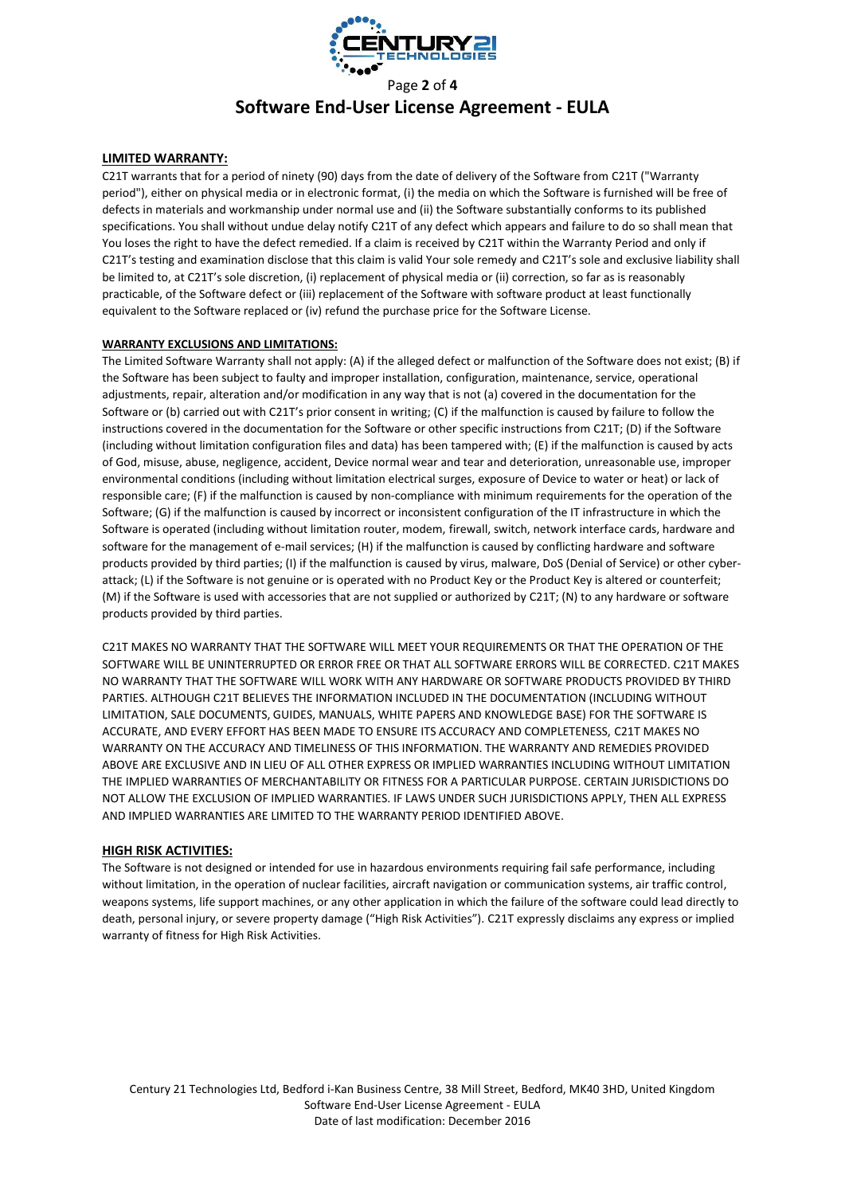

# Page **2** of **4 Software End-User License Agreement - EULA**

## **LIMITED WARRANTY:**

C21T warrants that for a period of ninety (90) days from the date of delivery of the Software from C21T ("Warranty period"), either on physical media or in electronic format, (i) the media on which the Software is furnished will be free of defects in materials and workmanship under normal use and (ii) the Software substantially conforms to its published specifications. You shall without undue delay notify C21T of any defect which appears and failure to do so shall mean that You loses the right to have the defect remedied. If a claim is received by C21T within the Warranty Period and only if C21T's testing and examination disclose that this claim is valid Your sole remedy and C21T's sole and exclusive liability shall be limited to, at C21T's sole discretion, (i) replacement of physical media or (ii) correction, so far as is reasonably practicable, of the Software defect or (iii) replacement of the Software with software product at least functionally equivalent to the Software replaced or (iv) refund the purchase price for the Software License.

#### **WARRANTY EXCLUSIONS AND LIMITATIONS:**

The Limited Software Warranty shall not apply: (A) if the alleged defect or malfunction of the Software does not exist; (B) if the Software has been subject to faulty and improper installation, configuration, maintenance, service, operational adjustments, repair, alteration and/or modification in any way that is not (a) covered in the documentation for the Software or (b) carried out with C21T's prior consent in writing; (C) if the malfunction is caused by failure to follow the instructions covered in the documentation for the Software or other specific instructions from C21T; (D) if the Software (including without limitation configuration files and data) has been tampered with; (E) if the malfunction is caused by acts of God, misuse, abuse, negligence, accident, Device normal wear and tear and deterioration, unreasonable use, improper environmental conditions (including without limitation electrical surges, exposure of Device to water or heat) or lack of responsible care; (F) if the malfunction is caused by non-compliance with minimum requirements for the operation of the Software; (G) if the malfunction is caused by incorrect or inconsistent configuration of the IT infrastructure in which the Software is operated (including without limitation router, modem, firewall, switch, network interface cards, hardware and software for the management of e-mail services; (H) if the malfunction is caused by conflicting hardware and software products provided by third parties; (I) if the malfunction is caused by virus, malware, DoS (Denial of Service) or other cyberattack; (L) if the Software is not genuine or is operated with no Product Key or the Product Key is altered or counterfeit; (M) if the Software is used with accessories that are not supplied or authorized by C21T; (N) to any hardware or software products provided by third parties.

C21T MAKES NO WARRANTY THAT THE SOFTWARE WILL MEET YOUR REQUIREMENTS OR THAT THE OPERATION OF THE SOFTWARE WILL BE UNINTERRUPTED OR ERROR FREE OR THAT ALL SOFTWARE ERRORS WILL BE CORRECTED. C21T MAKES NO WARRANTY THAT THE SOFTWARE WILL WORK WITH ANY HARDWARE OR SOFTWARE PRODUCTS PROVIDED BY THIRD PARTIES. ALTHOUGH C21T BELIEVES THE INFORMATION INCLUDED IN THE DOCUMENTATION (INCLUDING WITHOUT LIMITATION, SALE DOCUMENTS, GUIDES, MANUALS, WHITE PAPERS AND KNOWLEDGE BASE) FOR THE SOFTWARE IS ACCURATE, AND EVERY EFFORT HAS BEEN MADE TO ENSURE ITS ACCURACY AND COMPLETENESS, C21T MAKES NO WARRANTY ON THE ACCURACY AND TIMELINESS OF THIS INFORMATION. THE WARRANTY AND REMEDIES PROVIDED ABOVE ARE EXCLUSIVE AND IN LIEU OF ALL OTHER EXPRESS OR IMPLIED WARRANTIES INCLUDING WITHOUT LIMITATION THE IMPLIED WARRANTIES OF MERCHANTABILITY OR FITNESS FOR A PARTICULAR PURPOSE. CERTAIN JURISDICTIONS DO NOT ALLOW THE EXCLUSION OF IMPLIED WARRANTIES. IF LAWS UNDER SUCH JURISDICTIONS APPLY, THEN ALL EXPRESS AND IMPLIED WARRANTIES ARE LIMITED TO THE WARRANTY PERIOD IDENTIFIED ABOVE.

#### **HIGH RISK ACTIVITIES:**

The Software is not designed or intended for use in hazardous environments requiring fail safe performance, including without limitation, in the operation of nuclear facilities, aircraft navigation or communication systems, air traffic control, weapons systems, life support machines, or any other application in which the failure of the software could lead directly to death, personal injury, or severe property damage ("High Risk Activities"). C21T expressly disclaims any express or implied warranty of fitness for High Risk Activities.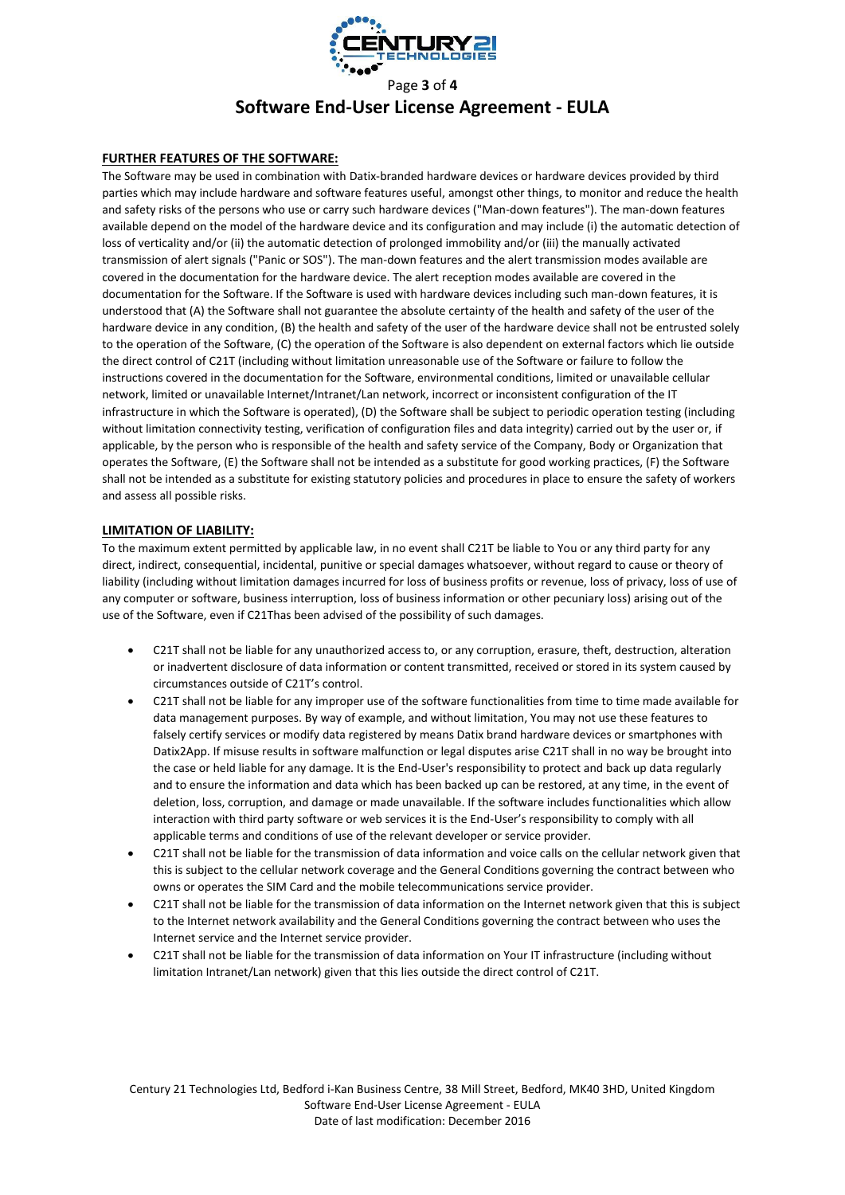

# Page **3** of **4 Software End-User License Agreement - EULA**

## **FURTHER FEATURES OF THE SOFTWARE:**

The Software may be used in combination with Datix-branded hardware devices or hardware devices provided by third parties which may include hardware and software features useful, amongst other things, to monitor and reduce the health and safety risks of the persons who use or carry such hardware devices ("Man-down features"). The man-down features available depend on the model of the hardware device and its configuration and may include (i) the automatic detection of loss of verticality and/or (ii) the automatic detection of prolonged immobility and/or (iii) the manually activated transmission of alert signals ("Panic or SOS"). The man-down features and the alert transmission modes available are covered in the documentation for the hardware device. The alert reception modes available are covered in the documentation for the Software. If the Software is used with hardware devices including such man-down features, it is understood that (A) the Software shall not guarantee the absolute certainty of the health and safety of the user of the hardware device in any condition, (B) the health and safety of the user of the hardware device shall not be entrusted solely to the operation of the Software, (C) the operation of the Software is also dependent on external factors which lie outside the direct control of C21T (including without limitation unreasonable use of the Software or failure to follow the instructions covered in the documentation for the Software, environmental conditions, limited or unavailable cellular network, limited or unavailable Internet/Intranet/Lan network, incorrect or inconsistent configuration of the IT infrastructure in which the Software is operated), (D) the Software shall be subject to periodic operation testing (including without limitation connectivity testing, verification of configuration files and data integrity) carried out by the user or, if applicable, by the person who is responsible of the health and safety service of the Company, Body or Organization that operates the Software, (E) the Software shall not be intended as a substitute for good working practices, (F) the Software shall not be intended as a substitute for existing statutory policies and procedures in place to ensure the safety of workers and assess all possible risks.

#### **LIMITATION OF LIABILITY:**

To the maximum extent permitted by applicable law, in no event shall C21T be liable to You or any third party for any direct, indirect, consequential, incidental, punitive or special damages whatsoever, without regard to cause or theory of liability (including without limitation damages incurred for loss of business profits or revenue, loss of privacy, loss of use of any computer or software, business interruption, loss of business information or other pecuniary loss) arising out of the use of the Software, even if C21Thas been advised of the possibility of such damages.

- C21T shall not be liable for any unauthorized access to, or any corruption, erasure, theft, destruction, alteration or inadvertent disclosure of data information or content transmitted, received or stored in its system caused by circumstances outside of C21T's control.
- C21T shall not be liable for any improper use of the software functionalities from time to time made available for data management purposes. By way of example, and without limitation, You may not use these features to falsely certify services or modify data registered by means Datix brand hardware devices or smartphones with Datix2App. If misuse results in software malfunction or legal disputes arise C21T shall in no way be brought into the case or held liable for any damage. It is the End-User's responsibility to protect and back up data regularly and to ensure the information and data which has been backed up can be restored, at any time, in the event of deletion, loss, corruption, and damage or made unavailable. If the software includes functionalities which allow interaction with third party software or web services it is the End-User's responsibility to comply with all applicable terms and conditions of use of the relevant developer or service provider.
- C21T shall not be liable for the transmission of data information and voice calls on the cellular network given that this is subject to the cellular network coverage and the General Conditions governing the contract between who owns or operates the SIM Card and the mobile telecommunications service provider.
- C21T shall not be liable for the transmission of data information on the Internet network given that this is subject to the Internet network availability and the General Conditions governing the contract between who uses the Internet service and the Internet service provider.
- C21T shall not be liable for the transmission of data information on Your IT infrastructure (including without limitation Intranet/Lan network) given that this lies outside the direct control of C21T.